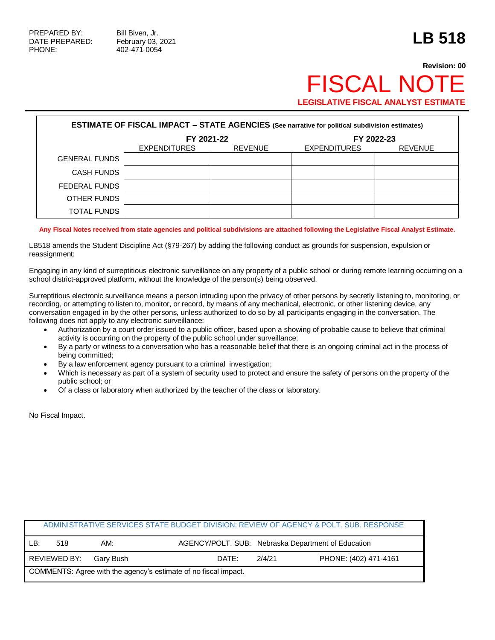## **Revision: 00 FISCAL NO LEGISLATIVE FISCAL ANALYST ESTIMATE**

| <b>ESTIMATE OF FISCAL IMPACT - STATE AGENCIES (See narrative for political subdivision estimates)</b> |                     |                |                     |                |  |
|-------------------------------------------------------------------------------------------------------|---------------------|----------------|---------------------|----------------|--|
|                                                                                                       | FY 2021-22          |                | FY 2022-23          |                |  |
|                                                                                                       | <b>EXPENDITURES</b> | <b>REVENUE</b> | <b>EXPENDITURES</b> | <b>REVENUE</b> |  |
| <b>GENERAL FUNDS</b>                                                                                  |                     |                |                     |                |  |
| <b>CASH FUNDS</b>                                                                                     |                     |                |                     |                |  |
| FEDERAL FUNDS                                                                                         |                     |                |                     |                |  |
| OTHER FUNDS                                                                                           |                     |                |                     |                |  |
| <b>TOTAL FUNDS</b>                                                                                    |                     |                |                     |                |  |

**Any Fiscal Notes received from state agencies and political subdivisions are attached following the Legislative Fiscal Analyst Estimate.**

LB518 amends the Student Discipline Act (§79-267) by adding the following conduct as grounds for suspension, expulsion or reassignment:

Engaging in any kind of surreptitious electronic surveillance on any property of a public school or during remote learning occurring on a school district-approved platform, without the knowledge of the person(s) being observed.

Surreptitious electronic surveillance means a person intruding upon the privacy of other persons by secretly listening to, monitoring, or recording, or attempting to listen to, monitor, or record, by means of any mechanical, electronic, or other listening device, any conversation engaged in by the other persons, unless authorized to do so by all participants engaging in the conversation. The following does not apply to any electronic surveillance:

- Authorization by a court order issued to a public officer, based upon a showing of probable cause to believe that criminal activity is occurring on the property of the public school under surveillance;
- By a party or witness to a conversation who has a reasonable belief that there is an ongoing criminal act in the process of being committed;
- By a law enforcement agency pursuant to a criminal investigation;
- Which is necessary as part of a system of security used to protect and ensure the safety of persons on the property of the public school; or
- Of a class or laboratory when authorized by the teacher of the class or laboratory.

No Fiscal Impact.

|                                                                 |              |           |       |        | ADMINISTRATIVE SERVICES STATE BUDGET DIVISION: REVIEW OF AGENCY & POLT. SUB. RESPONSE |  |
|-----------------------------------------------------------------|--------------|-----------|-------|--------|---------------------------------------------------------------------------------------|--|
| LB:                                                             | 518          | AM:       |       |        | AGENCY/POLT. SUB: Nebraska Department of Education                                    |  |
|                                                                 | REVIEWED BY: | Garv Bush | DATE: | 2/4/21 | PHONE: (402) 471-4161                                                                 |  |
| COMMENTS: Agree with the agency's estimate of no fiscal impact. |              |           |       |        |                                                                                       |  |